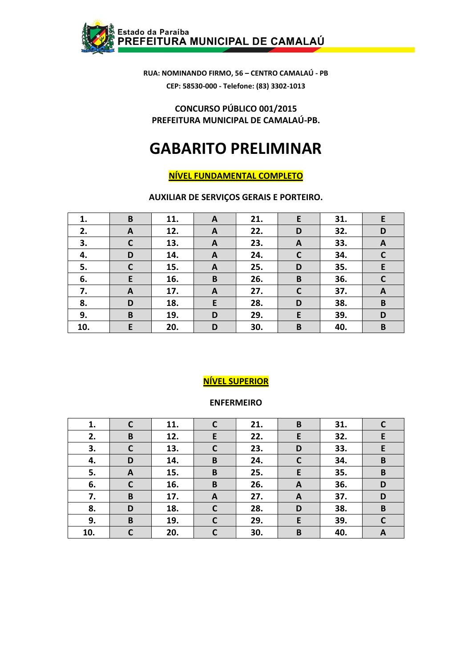

**CONCURSO PÚBLICO 001/2015 PREFEITURA MUNICIPAL DE CAMALAÚ-PB.** 

# **GABARITO PRELIMINAR**

# **NÍVEL FUNDAMENTAL COMPLETO**

**AUXILIAR DE SERVIÇOS GERAIS E PORTEIRO.** 

| 1.  | B            | 11. | A | 21. | E            | 31. | E           |
|-----|--------------|-----|---|-----|--------------|-----|-------------|
| 2.  | A            | 12. | A | 22. | D            | 32. | D           |
| 3.  | $\mathbf C$  | 13. | A | 23. | $\mathbf{A}$ | 33. | A           |
| 4.  | D            | 14. | A | 24. | $\mathsf{C}$ | 34. | $\mathbf C$ |
| 5.  | $\mathsf{C}$ | 15. | A | 25. | D            | 35. | E           |
| 6.  | E            | 16. | B | 26. | B            | 36. | $\mathbf c$ |
| 7.  | $\mathbf{A}$ | 17. | A | 27. | $\mathsf{C}$ | 37. | A           |
| 8.  | D            | 18. | E | 28. | D            | 38. | B           |
| 9.  | B            | 19. | D | 29. | E            | 39. | D           |
| 10. | E            | 20. | D | 30. | B            | 40. | B           |

# **NÍVEL SUPERIOR**

#### **ENFERMEIRO**

| 1.  | C            | 11. | C            | 21. | B                | 31. |              |
|-----|--------------|-----|--------------|-----|------------------|-----|--------------|
| 2.  | $\mathbf B$  | 12. | E            | 22. | E                | 32. | E            |
| 3.  | $\mathsf{C}$ | 13. | $\mathbf C$  | 23. | D                | 33. | E            |
| 4.  | D            | 14. | B            | 24. | $\mathsf{C}$     | 34. | B            |
| 5.  | A            | 15. | B            | 25. | E                | 35. | $\, {\bf B}$ |
| 6.  | $\mathsf{C}$ | 16. | B            | 26. | A                | 36. | D            |
| 7.  | B            | 17. | A            | 27. | $\boldsymbol{A}$ | 37. | D            |
| 8.  | D            | 18. | $\mathsf{C}$ | 28. | D                | 38. | $\mathbf B$  |
| 9.  | B            | 19. | $\mathbf{C}$ | 29. | E                | 39. | C            |
| 10. |              | 20. | $\mathsf{C}$ | 30. | B                | 40. | A            |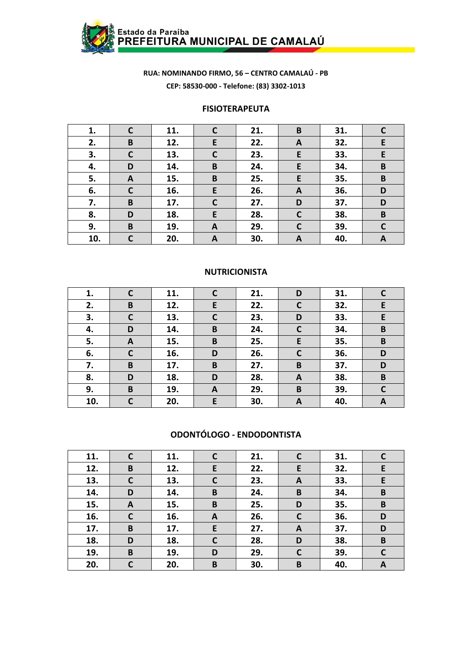

#### **FISIOTERAPEUTA**

| 1.  | C            | 11. | C            | 21. | B | 31. |              |
|-----|--------------|-----|--------------|-----|---|-----|--------------|
| 2.  | B            | 12. | E            | 22. | A | 32. | E            |
| 3.  | $\mathsf{C}$ | 13. | $\mathbf C$  | 23. | E | 33. | E            |
| 4.  | D            | 14. | B            | 24. | E | 34. | B            |
| 5.  | A            | 15. | B            | 25. | E | 35. | B            |
| 6.  | $\mathsf{C}$ | 16. | E            | 26. | A | 36. | D            |
| 7.  | B            | 17. | $\mathbf c$  | 27. | D | 37. | D            |
| 8.  | D            | 18. | E            | 28. | C | 38. | B            |
| 9.  | B            | 19. | $\mathbf{A}$ | 29. | C | 39. | $\mathsf{C}$ |
| 10. | C            | 20. | A            | 30. | A | 40. | A            |

#### **NUTRICIONISTA**

| 1.  |              | 11. | C           | 21. | D | 31. |   |
|-----|--------------|-----|-------------|-----|---|-----|---|
| 2.  | B            | 12. | E           | 22. |   | 32. | E |
| 3.  | $\mathbf C$  | 13. | $\mathbf c$ | 23. | D | 33. | E |
| 4.  | D            | 14. | B           | 24. | C | 34. | B |
| 5.  | A            | 15. | B           | 25. | E | 35. | B |
| 6.  | $\mathsf{C}$ | 16. | D           | 26. | C | 36. | D |
| 7.  | B            | 17. | B           | 27. | B | 37. | D |
| 8.  | D            | 18. | D           | 28. | A | 38. | B |
| 9.  | B            | 19. | A           | 29. | B | 39. | C |
| 10. | C            | 20. | E           | 30. | A | 40. | A |

#### ODONTÓLOGO - ENDODONTISTA

| 11. | C            | 11. | $\mathsf{C}$ | 21. | C            | 31. | C |
|-----|--------------|-----|--------------|-----|--------------|-----|---|
| 12. | B            | 12. | E            | 22. | E            | 32. | E |
| 13. | $\mathsf{C}$ | 13. | $\mathsf{C}$ | 23. | A            | 33. | E |
| 14. | D            | 14. | B            | 24. | B            | 34. | B |
| 15. | A            | 15. | B            | 25. | D            | 35. | B |
| 16. | $\mathsf{C}$ | 16. | A            | 26. | $\mathsf{C}$ | 36. | D |
| 17. | B            | 17. | E            | 27. | A            | 37. | D |
| 18. | D            | 18. | C            | 28. | D            | 38. | B |
| 19. | B            | 19. | D            | 29. | C            | 39. | C |
| 20. | C            | 20. | B            | 30. | B            | 40. | A |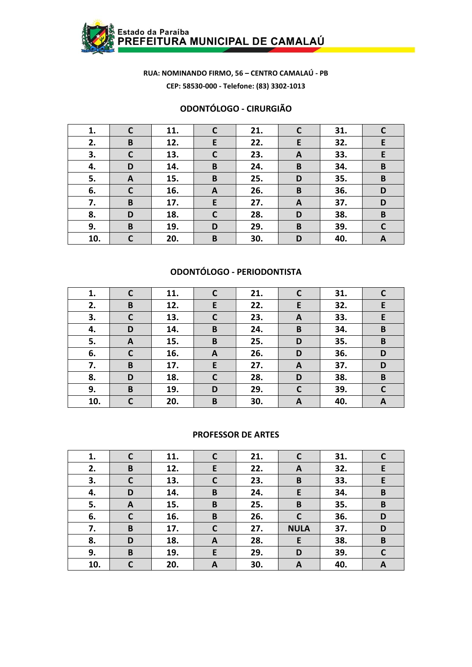

# **ODONTÓLOGO - CIRURGIÃO**

| 1.  | $\mathsf{C}$ | 11. | $\mathbf c$  | 21. | C | 31. |             |
|-----|--------------|-----|--------------|-----|---|-----|-------------|
| 2.  | B            | 12. | E            | 22. | E | 32. | E           |
| 3.  | $\mathsf{C}$ | 13. | $\mathsf{C}$ | 23. | A | 33. | E           |
| 4.  | D            | 14. | B            | 24. | B | 34. | B           |
| 5.  | A            | 15. | B            | 25. | D | 35. | B           |
| 6.  | $\mathbf C$  | 16. | $\mathbf{A}$ | 26. | B | 36. | D           |
| 7.  | B            | 17. | E.           | 27. | A | 37. | D           |
| 8.  | D            | 18. | $\mathbf C$  | 28. | D | 38. | B           |
| 9.  | $\pmb B$     | 19. | D            | 29. | B | 39. | $\mathbf C$ |
| 10. | C            | 20. | B            | 30. | D | 40. | A           |

# **ODONTÓLOGO - PERIODONTISTA**

| 1.  |              | 11. | C            | 21. |   | 31. |   |
|-----|--------------|-----|--------------|-----|---|-----|---|
| 2.  | B            | 12. | E            | 22. | E | 32. | E |
| 3.  | $\mathsf{C}$ | 13. | $\mathbf C$  | 23. | A | 33. | E |
| 4.  | D            | 14. | B            | 24. | B | 34. | B |
| 5.  | A            | 15. | B            | 25. | D | 35. | B |
| 6.  | C            | 16. | A            | 26. | D | 36. | D |
| 7.  | B            | 17. | E            | 27. | A | 37. | D |
| 8.  | D            | 18. | $\mathsf{C}$ | 28. | D | 38. | B |
| 9.  | B            | 19. | D            | 29. | C | 39. | C |
| 10. |              | 20. | B            | 30. | A | 40. | A |

#### **PROFESSOR DE ARTES**

| 1.  | C            | 11. | $\mathbf c$  | 21. | C           | 31. |              |
|-----|--------------|-----|--------------|-----|-------------|-----|--------------|
| 2.  | B            | 12. | E            | 22. | A           | 32. | E            |
| 3.  | $\mathsf{C}$ | 13. | $\mathsf{C}$ | 23. | B           | 33. | E            |
| 4.  | D            | 14. | B            | 24. | E           | 34. | B            |
| 5.  | A            | 15. | B            | 25. | B           | 35. | B            |
| 6.  | $\mathsf{C}$ | 16. | B            | 26. | C           | 36. | D            |
| 7.  | $\mathbf B$  | 17. | $\mathsf{C}$ | 27. | <b>NULA</b> | 37. | D            |
| 8.  | D            | 18. | A            | 28. | E           | 38. | $\mathbf B$  |
| 9.  | B            | 19. | E            | 29. | D           | 39. | $\mathsf{C}$ |
| 10. | C            | 20. | A            | 30. | A           | 40. | A            |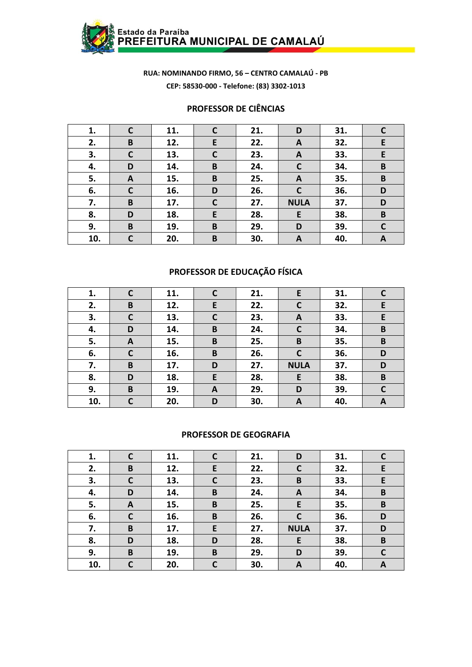

# **PROFESSOR DE CIÊNCIAS**

| 1.  | $\mathsf{C}$ | 11. | C           | 21. | D            | 31. |              |
|-----|--------------|-----|-------------|-----|--------------|-----|--------------|
| 2.  | B            | 12. | E           | 22. | A            | 32. | E            |
| 3.  | $\mathbf C$  | 13. | $\mathbf C$ | 23. | A            | 33. | E            |
| 4.  | D            | 14. | B           | 24. | C            | 34. | B            |
| 5.  | A            | 15. | B           | 25. | $\mathbf{A}$ | 35. | B            |
| 6.  | $\mathbf C$  | 16. | D           | 26. | C            | 36. | D            |
| 7.  | B            | 17. | $\mathbf C$ | 27. | <b>NULA</b>  | 37. | D            |
| 8.  | D            | 18. | E           | 28. | E            | 38. | B            |
| 9.  | B            | 19. | B           | 29. | D            | 39. | $\mathsf{C}$ |
| 10. | C            | 20. | B           | 30. | A            | 40. | A            |

# **PROFESSOR DE EDUCAÇÃO FÍSICA**

| 1.  |             | 11. | $\mathsf{C}$ | 21. | E.          | 31. | C |
|-----|-------------|-----|--------------|-----|-------------|-----|---|
| 2.  | B           | 12. | E            | 22. |             | 32. | E |
| 3.  | $\mathbf c$ | 13. | $\mathbf C$  | 23. | A           | 33. | E |
| 4.  | D           | 14. | B            | 24. | C           | 34. | B |
| 5.  | A           | 15. | B            | 25. | B           | 35. | B |
| 6.  | C           | 16. | B            | 26. | C           | 36. | D |
| 7.  | B           | 17. | D            | 27. | <b>NULA</b> | 37. | D |
| 8.  | D           | 18. | E            | 28. | E           | 38. | B |
| 9.  | B           | 19. | A            | 29. | D           | 39. | C |
| 10. | r           | 20. | D            | 30. | A           | 40. | A |

#### **PROFESSOR DE GEOGRAFIA**

| 1.  | $\mathsf{C}$ | 11. | $\mathsf{C}$ | 21. | D           | 31. | $\mathsf{C}$ |
|-----|--------------|-----|--------------|-----|-------------|-----|--------------|
| 2.  | B            | 12. | E            | 22. | C           | 32. | E            |
| 3.  | $\mathsf{C}$ | 13. | $\mathsf{C}$ | 23. | B           | 33. | E            |
| 4.  | D            | 14. | B            | 24. | A           | 34. | $\, {\bf B}$ |
| 5.  | A            | 15. | B            | 25. | E           | 35. | B            |
| 6.  | C            | 16. | B            | 26. | C           | 36. | D            |
| 7.  | B            | 17. | E            | 27. | <b>NULA</b> | 37. | D            |
| 8.  | D            | 18. | D            | 28. | E           | 38. | B            |
| 9.  | B            | 19. | B            | 29. | D           | 39. | C            |
| 10. | $\mathbf C$  | 20. | $\mathbf C$  | 30. | A           | 40. | A            |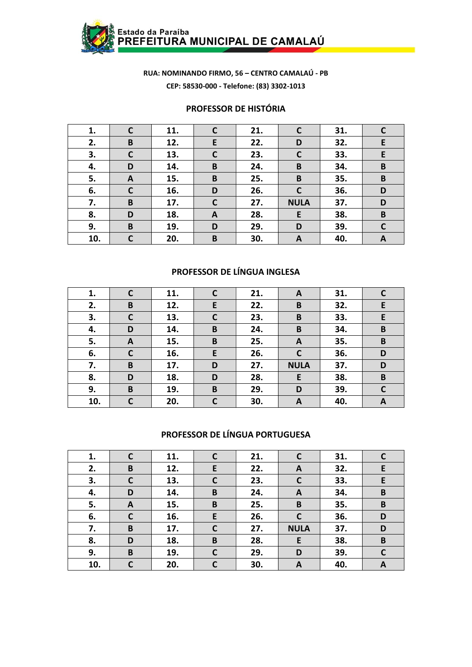

#### **PROFESSOR DE HISTÓRIA**

| 1.  | $\mathsf{C}$ | 11. | $\mathsf{C}$ | 21. | C            | 31. |              |
|-----|--------------|-----|--------------|-----|--------------|-----|--------------|
| 2.  | B            | 12. | E            | 22. | D            | 32. | E            |
| 3.  | $\mathsf{C}$ | 13. | $\mathsf{C}$ | 23. | $\mathsf{C}$ | 33. | E            |
| 4.  | D            | 14. | B            | 24. | B            | 34. | B            |
| 5.  | A            | 15. | B            | 25. | B            | 35. | B            |
| 6.  | $\mathsf{C}$ | 16. | D            | 26. | $\mathsf{C}$ | 36. | D            |
| 7.  | B            | 17. | $\mathbf C$  | 27. | <b>NULA</b>  | 37. | D            |
| 8.  | D            | 18. | A            | 28. | E            | 38. | B            |
| 9.  | B            | 19. | D            | 29. | D            | 39. | $\mathsf{C}$ |
| 10. | C            | 20. | B            | 30. | A            | 40. | A            |

# **PROFESSOR DE LÍNGUA INGLESA**

| 1.  | $\mathsf{C}$ | 11. | $\mathsf{C}$ | 21. | A            | 31. | C  |
|-----|--------------|-----|--------------|-----|--------------|-----|----|
| 2.  | B            | 12. | E            | 22. | B            | 32. | E  |
| 3.  | $\mathbf c$  | 13. | $\mathbf C$  | 23. | B            | 33. | E. |
| 4.  | D            | 14. | B            | 24. | B            | 34. | B  |
| 5.  | A            | 15. | B            | 25. | A            | 35. | B  |
| 6.  | $\mathsf{C}$ | 16. | E            | 26. | $\mathsf{C}$ | 36. | D  |
| 7.  | B            | 17. | D            | 27. | <b>NULA</b>  | 37. | D  |
| 8.  | D            | 18. | D            | 28. | E            | 38. | B  |
| 9.  | B            | 19. | B            | 29. | D            | 39. | C  |
| 10. | C            | 20. | $\mathsf{C}$ | 30. | A            | 40. | A  |

#### **PROFESSOR DE LÍNGUA PORTUGUESA**

| 1.  | $\mathsf{C}$ | 11. | C            | 21. | C           | 31. |   |
|-----|--------------|-----|--------------|-----|-------------|-----|---|
| 2.  | B            | 12. | E            | 22. | A           | 32. | E |
| 3.  | C            | 13. | $\mathbf c$  | 23. | C           | 33. | E |
| 4.  | D            | 14. | B            | 24. | A           | 34. | B |
| 5.  | A            | 15. | B            | 25. | B           | 35. | B |
| 6.  | C            | 16. | E            | 26. | C           | 36. | D |
| 7.  | B            | 17. | $\mathsf{C}$ | 27. | <b>NULA</b> | 37. | D |
| 8.  | D            | 18. | B            | 28. | E           | 38. | B |
| 9.  | B            | 19. | C            | 29. | D           | 39. | C |
| 10. | C            | 20. | C            | 30. | A           | 40. | A |